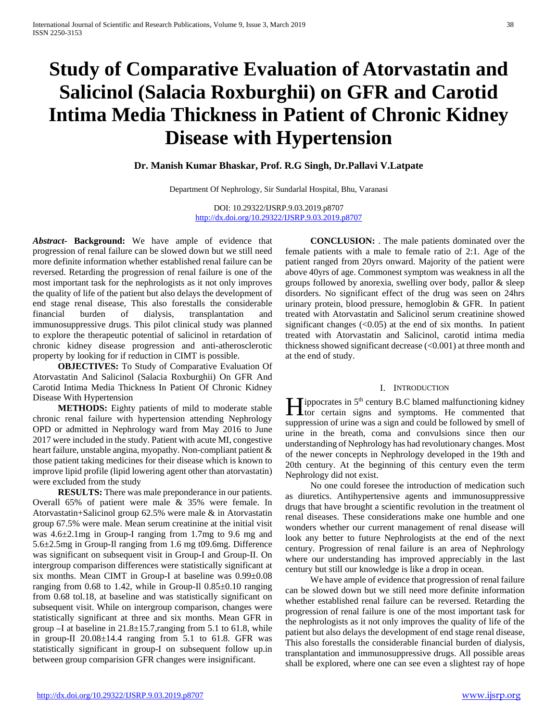# **Study of Comparative Evaluation of Atorvastatin and Salicinol (Salacia Roxburghii) on GFR and Carotid Intima Media Thickness in Patient of Chronic Kidney Disease with Hypertension**

**Dr. Manish Kumar Bhaskar, Prof. R.G Singh, Dr.Pallavi V.Latpate** 

Department Of Nephrology, Sir Sundarlal Hospital, Bhu, Varanasi

DOI: 10.29322/IJSRP.9.03.2019.p8707 <http://dx.doi.org/10.29322/IJSRP.9.03.2019.p8707>

*Abstract***- Background:** We have ample of evidence that progression of renal failure can be slowed down but we still need more definite information whether established renal failure can be reversed. Retarding the progression of renal failure is one of the most important task for the nephrologists as it not only improves the quality of life of the patient but also delays the development of end stage renal disease, This also forestalls the considerable financial burden of dialysis, transplantation and immunosuppressive drugs. This pilot clinical study was planned to explore the therapeutic potential of salicinol in retardation of chronic kidney disease progression and anti-atherosclerotic property by looking for if reduction in CIMT is possible.

 **OBJECTIVES:** To Study of Comparative Evaluation Of Atorvastatin And Salicinol (Salacia Roxburghii) On GFR And Carotid Intima Media Thickness In Patient Of Chronic Kidney Disease With Hypertension

 **METHODS:** Eighty patients of mild to moderate stable chronic renal failure with hypertension attending Nephrology OPD or admitted in Nephrology ward from May 2016 to June 2017 were included in the study. Patient with acute MI, congestive heart failure, unstable angina, myopathy. Non-compliant patient & those patient taking medicines for their disease which is known to improve lipid profile (lipid lowering agent other than atorvastatin) were excluded from the study

 **RESULTS:** There was male preponderance in our patients. Overall 65% of patient were male & 35% were female. In Atorvastatin+Salicinol group 62.5% were male & in Atorvastatin group 67.5% were male. Mean serum creatinine at the initial visit was 4.6±2.1mg in Group-I ranging from 1.7mg to 9.6 mg and 5.6±2.5mg in Group-Il ranging from 1.6 mg t09.6mg. Difference was significant on subsequent visit in Group-I and Group-II. On intergroup comparison differences were statistically significant at six months. Mean CIMT in Group-I at baseline was 0.99±0.08 ranging from 0.68 to 1.42, while in Group-Il  $0.85\pm0.10$  ranging from 0.68 tol.18, at baseline and was statistically significant on subsequent visit. While on intergroup comparison, changes were statistically significant at three and six months. Mean GFR in group  $-I$  at baseline in  $21.8 \pm 15.7$ , ranging from 5.1 to 61.8, while in group-II  $20.08 \pm 14.4$  ranging from 5.1 to 61.8. GFR was statistically significant in group-I on subsequent follow up.in between group comparision GFR changes were insignificant.

 **CONCLUSION:** . The male patients dominated over the female patients with a male to female ratio of 2:1. Age of the patient ranged from 20yrs onward. Majority of the patient were above 40yrs of age. Commonest symptom was weakness in all the groups followed by anorexia, swelling over body, pallor & sleep disorders. No significant effect of the drug was seen on 24hrs urinary protein, blood pressure, hemoglobin & GFR. In patient treated with Atorvastatin and Salicinol serum creatinine showed significant changes  $( $0.05$ )$  at the end of six months. In patient treated with Atorvastatin and Salicinol, carotid intima media thickness showed significant decrease (<0.001) at three month and at the end of study.

## I. INTRODUCTION

**inc** is 5<sup>th</sup> century B.C blamed malfunctioning kidney<br>tor certain signs and symptoms. He commented that tor certain signs and symptoms. He commented that suppression of urine was a sign and could be followed by smell of urine in the breath, coma and convulsions since then our understanding of Nephrology has had revolutionary changes. Most of the newer concepts in Nephrology developed in the 19th and 20th century. At the beginning of this century even the term Nephrology did not exist.

 No one could foresee the introduction of medication such as diuretics. Antihypertensive agents and immunosuppressive drugs that have brought a scientific revolution in the treatment ol renal diseases. These considerations make one humble and one wonders whether our current management of renal disease will look any better to future Nephrologists at the end of the next century. Progression of renal failure is an area of Nephrology where our understanding has improved appreciably in the last century but still our knowledge is like a drop in ocean.

 We have ample of evidence that progression of renal failure can be slowed down but we still need more definite information whether established renal failure can be reversed. Retarding the progression of renal failure is one of the most important task for the nephrologists as it not only improves the quality of life of the patient but also delays the development of end stage renal disease, This also forestalls the considerable financial burden of dialysis, transplantation and immunosuppressive drugs. All possible areas shall be explored, where one can see even a slightest ray of hope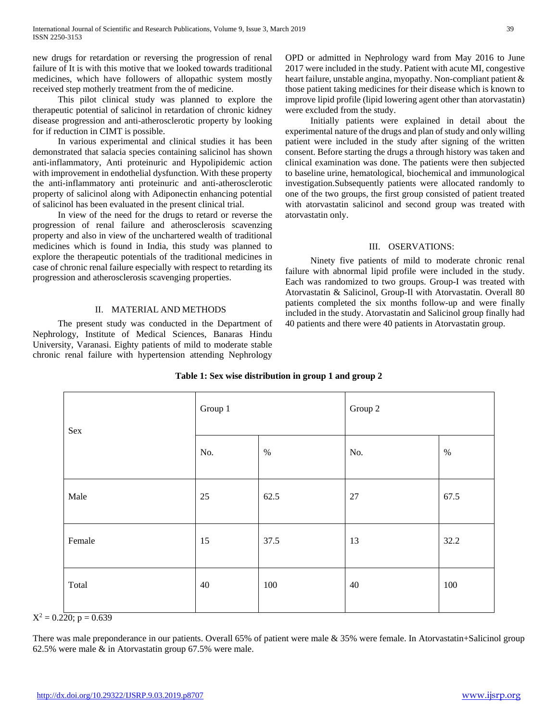new drugs for retardation or reversing the progression of renal failure of It is with this motive that we looked towards traditional medicines, which have followers of allopathic system mostly received step motherly treatment from the of medicine.

 This pilot clinical study was planned to explore the therapeutic potential of salicinol in retardation of chronic kidney disease progression and anti-atherosclerotic property by looking for if reduction in CIMT is possible.

 In various experimental and clinical studies it has been demonstrated that salacia species containing salicinol has shown anti-inflammatory, Anti proteinuric and Hypolipidemic action with improvement in endothelial dysfunction. With these property the anti-inflammatory anti proteinuric and anti-atherosclerotic property of salicinol along with Adiponectin enhancing potential of salicinol has been evaluated in the present clinical trial.

 In view of the need for the drugs to retard or reverse the progression of renal failure and atherosclerosis scavenzing property and also in view of the unchartered wealth of traditional medicines which is found in India, this study was planned to explore the therapeutic potentials of the traditional medicines in case of chronic renal failure especially with respect to retarding its progression and atherosclerosis scavenging properties.

## II. MATERIAL AND METHODS

 The present study was conducted in the Department of Nephrology, Institute of Medical Sciences, Banaras Hindu University, Varanasi. Eighty patients of mild to moderate stable chronic renal failure with hypertension attending Nephrology OPD or admitted in Nephrology ward from May 2016 to June 2017 were included in the study. Patient with acute MI, congestive heart failure, unstable angina, myopathy. Non-compliant patient & those patient taking medicines for their disease which is known to improve lipid profile (lipid lowering agent other than atorvastatin) were excluded from the study.

 Initially patients were explained in detail about the experimental nature of the drugs and plan of study and only willing patient were included in the study after signing of the written consent. Before starting the drugs a through history was taken and clinical examination was done. The patients were then subjected to baseline urine, hematological, biochemical and immunological investigation.Subsequently patients were allocated randomly to one of the two groups, the first group consisted of patient treated with atorvastatin salicinol and second group was treated with atorvastatin only.

## III. OSERVATIONS:

 Ninety five patients of mild to moderate chronic renal failure with abnormal lipid profile were included in the study. Each was randomized to two groups. Group-I was treated with Atorvastatin & Salicinol, Group-Il with Atorvastatin. Overall 80 patients completed the six months follow-up and were finally included in the study. Atorvastatin and Salicinol group finally had 40 patients and there were 40 patients in Atorvastatin group.

| Sex                           | Group 1 |      | Group 2 |      |
|-------------------------------|---------|------|---------|------|
|                               | No.     | $\%$ | No.     | $\%$ |
| Male                          | 25      | 62.5 | $27\,$  | 67.5 |
| Female                        | 15      | 37.5 | 13      | 32.2 |
| Total<br>$\sim$ $\sim$ $\sim$ | 40      | 100  | 40      | 100  |

## **Table 1: Sex wise distribution in group 1 and group 2**

 $X^2 = 0.220$ ; p = 0.639

There was male preponderance in our patients. Overall 65% of patient were male & 35% were female. In Atorvastatin+Salicinol group 62.5% were male & in Atorvastatin group 67.5% were male.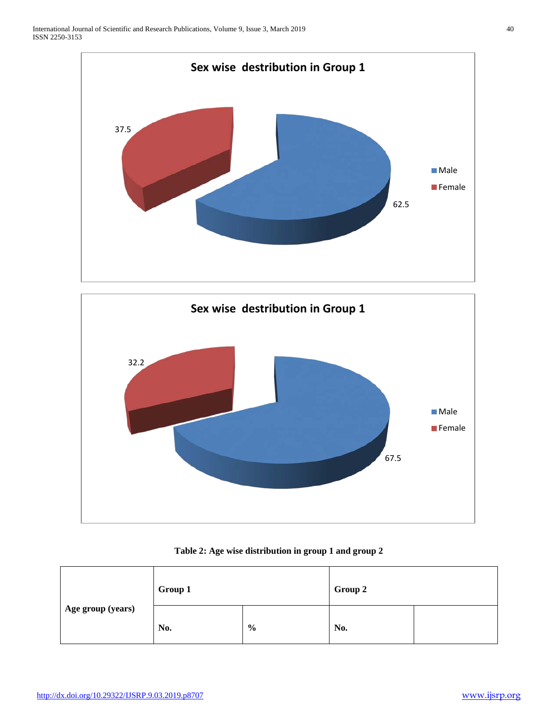



**Table 2: Age wise distribution in group 1 and group 2**

| Age group (years) | Group 1 |               | Group 2 |  |
|-------------------|---------|---------------|---------|--|
|                   | No.     | $\frac{6}{6}$ | No.     |  |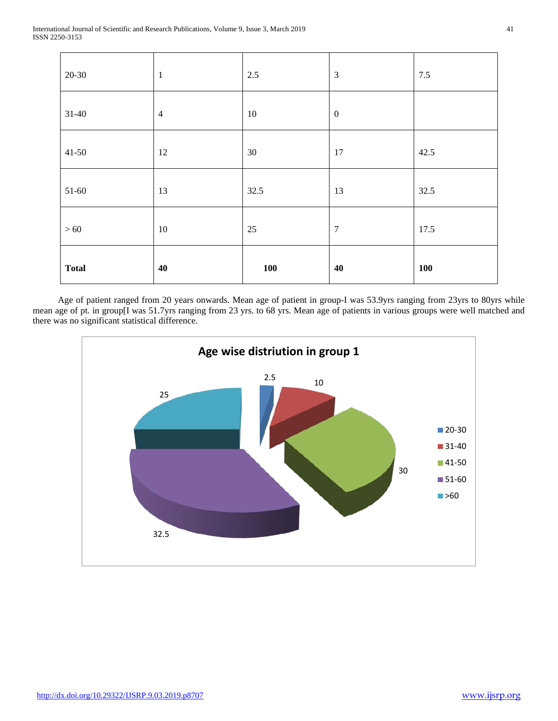| <b>Total</b> | 40             | <b>100</b> | 40               | <b>100</b> |
|--------------|----------------|------------|------------------|------------|
| $>60$        | $10\,$         | 25         | $\overline{7}$   | 17.5       |
| $51-60$      | 13             | 32.5       | 13               | 32.5       |
| $41-50$      | 12             | 30         | 17               | 42.5       |
| $31 - 40$    | $\overline{4}$ | 10         | $\boldsymbol{0}$ |            |
| $20 - 30$    | $\mathbf{1}$   | 2.5        | $\mathfrak{Z}$   | $7.5$      |

 Age of patient ranged from 20 years onwards. Mean age of patient in group-I was 53.9yrs ranging from 23yrs to 80yrs while mean age of pt. in group[I was 51.7yrs ranging from 23 yrs. to 68 yrs. Mean age of patients in various groups were well matched and there was no significant statistical difference.

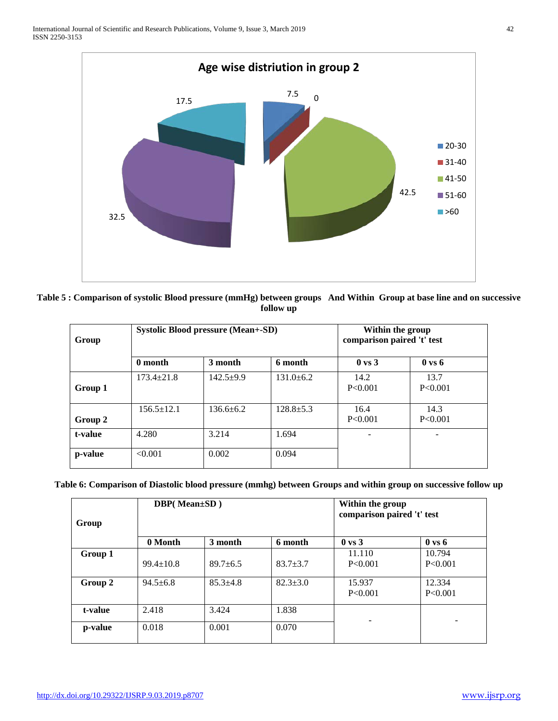

| Table 5 : Comparison of systolic Blood pressure (mmHg) between groups And Within Group at base line and on successive |  |
|-----------------------------------------------------------------------------------------------------------------------|--|
| follow up                                                                                                             |  |

| Group   |                  | <b>Systolic Blood pressure (Mean+-SD)</b> |                 | Within the group<br>comparison paired 't' test |                   |
|---------|------------------|-------------------------------------------|-----------------|------------------------------------------------|-------------------|
|         | 0 month          | 3 month                                   | 6 month         | $0 \text{ vs } 3$                              | $0 \text{ vs } 6$ |
| Group 1 | $173.4 \pm 21.8$ | $142.5+9.9$                               | $131.0 \pm 6.2$ | 14.2<br>P < 0.001                              | 13.7<br>P<0.001   |
| Group 2 | $156.5 \pm 12.1$ | $136.6 \pm 6.2$                           | $128.8 \pm 5.3$ | 16.4<br>P < 0.001                              | 14.3<br>P < 0.001 |
| t-value | 4.280            | 3.214                                     | 1.694           |                                                |                   |
| p-value | < 0.001          | 0.002                                     | 0.094           |                                                |                   |

**Table 6: Comparison of Diastolic blood pressure (mmhg) between Groups and within group on successive follow up**

| Group   | <b>DBP(Mean</b> ±SD) |              | Within the group<br>comparison paired 't' test |                     |                          |
|---------|----------------------|--------------|------------------------------------------------|---------------------|--------------------------|
|         | 0 Month              | 3 month      | 6 month                                        | $0 \text{ vs } 3$   | $0 \text{ vs } 6$        |
| Group 1 | $99.4 \pm 10.8$      | $89.7 + 6.5$ | $83.7 + 3.7$                                   | 11.110<br>P < 0.001 | 10.794<br>P<0.001        |
| Group 2 | $94.5 + 6.8$         | $85.3 + 4.8$ | $82.3 + 3.0$                                   | 15.937<br>P<0.001   | 12.334<br>P<0.001        |
| t-value | 2.418                | 3.424        | 1.838                                          |                     |                          |
| p-value | 0.018                | 0.001        | 0.070                                          |                     | $\overline{\phantom{a}}$ |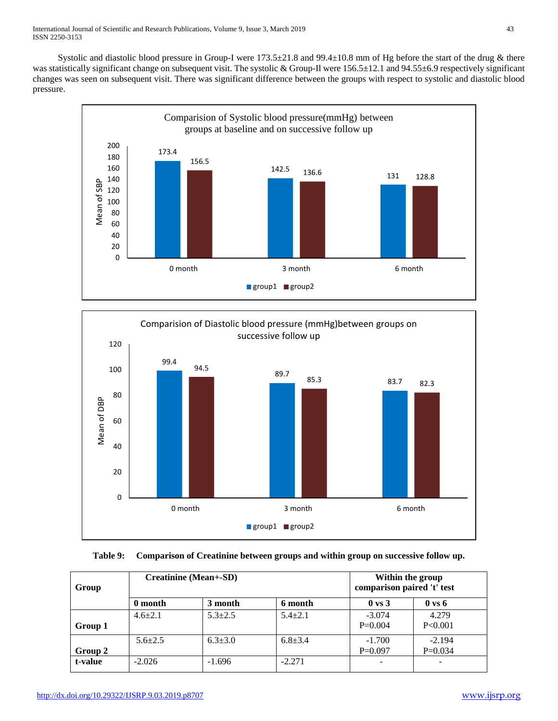Systolic and diastolic blood pressure in Group-I were  $173.5\pm21.8$  and  $99.4\pm10.8$  mm of Hg before the start of the drug & there was statistically significant change on subsequent visit. The systolic & Group-Il were 156.5±12.1 and 94.55±6.9 respectively significant changes was seen on subsequent visit. There was significant difference between the groups with respect to systolic and diastolic blood pressure.





# **Table 9: Comparison of Creatinine between groups and within group on successive follow up.**

| Group   | <b>Creatinine (Mean+-SD)</b> |             |               | Within the group<br>comparison paired 't' test |                          |
|---------|------------------------------|-------------|---------------|------------------------------------------------|--------------------------|
|         | 0 month                      | 3 month     | 6 month       | $0 \text{ vs } 3$                              | $0 \text{ vs } 6$        |
|         | $4.6 + 2.1$                  | $5.3 + 2.5$ | $5.4 + 2.1$   | $-3.074$                                       | 4.279                    |
| Group 1 |                              |             |               | $P=0.004$                                      | P<0.001                  |
|         | $5.6 \pm 2.5$                | $6.3 + 3.0$ | $6.8 \pm 3.4$ | $-1.700$                                       | $-2.194$                 |
| Group 2 |                              |             |               | $P=0.097$                                      | $P=0.034$                |
| t-value | $-2.026$                     | $-1.696$    | $-2.271$      |                                                | $\overline{\phantom{0}}$ |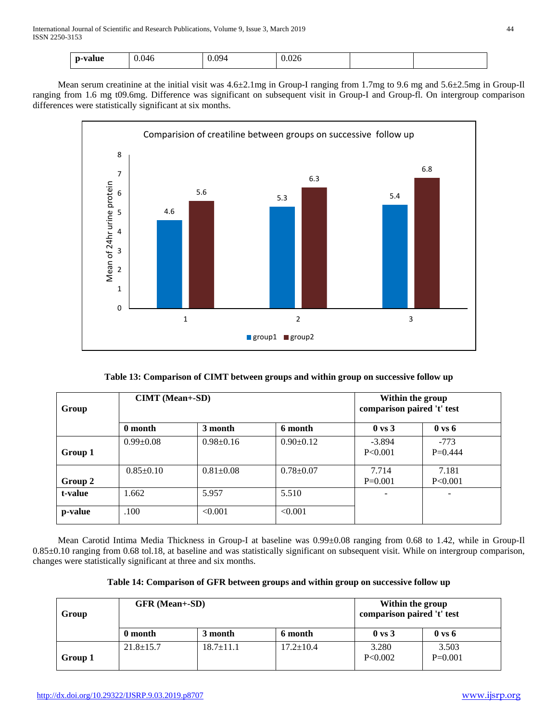| ~value<br>$\mathbf{D}$<br>- | 046<br>__ | 094<br>. . <del>.</del> . | $\sim$<br>v.v∠v<br>$  -$ |  |
|-----------------------------|-----------|---------------------------|--------------------------|--|
|                             |           |                           |                          |  |

 Mean serum creatinine at the initial visit was 4.6±2.1mg in Group-I ranging from 1.7mg to 9.6 mg and 5.6±2.5mg in Group-Il ranging from 1.6 mg t09.6mg. Difference was significant on subsequent visit in Group-I and Group-fl. On intergroup comparison differences were statistically significant at six months.



**Table 13: Comparison of CIMT between groups and within group on successive follow up**

| Group   | <b>CIMT</b> (Mean+-SD) |                 |                 | Within the group<br>comparison paired 't' test |                     |
|---------|------------------------|-----------------|-----------------|------------------------------------------------|---------------------|
|         | 0 month                | 3 month         | 6 month         | $0 \text{ vs } 3$                              | $0 \text{ vs } 6$   |
| Group 1 | $0.99 \pm 0.08$        | $0.98 \pm 0.16$ | $0.90 \pm 0.12$ | $-3.894$<br>P<0.001                            | $-773$<br>$P=0.444$ |
| Group 2 | $0.85 \pm 0.10$        | $0.81 \pm 0.08$ | $0.78 \pm 0.07$ | 7.714<br>$P=0.001$                             | 7.181<br>P<0.001    |
| t-value | 1.662                  | 5.957           | 5.510           |                                                | ۰                   |
| p-value | .100                   | < 0.001         | < 0.001         |                                                |                     |

Mean Carotid Intima Media Thickness in Group-I at baseline was  $0.99\pm0.08$  ranging from 0.68 to 1.42, while in Group-Il 0.85±0.10 ranging from 0.68 tol.18, at baseline and was statistically significant on subsequent visit. While on intergroup comparison, changes were statistically significant at three and six months.

| Group   | <b>GFR</b> (Mean+-SD) |                 | Within the group<br>comparison paired 't' test |                   |                    |
|---------|-----------------------|-----------------|------------------------------------------------|-------------------|--------------------|
|         | 0 month               | 3 month         | 6 month                                        | $0 \text{ vs } 3$ | $0 \text{ vs } 6$  |
| Group 1 | $21.8 \pm 15.7$       | $18.7 \pm 11.1$ | $17.2 \pm 10.4$                                | 3.280<br>P<0.002  | 3.503<br>$P=0.001$ |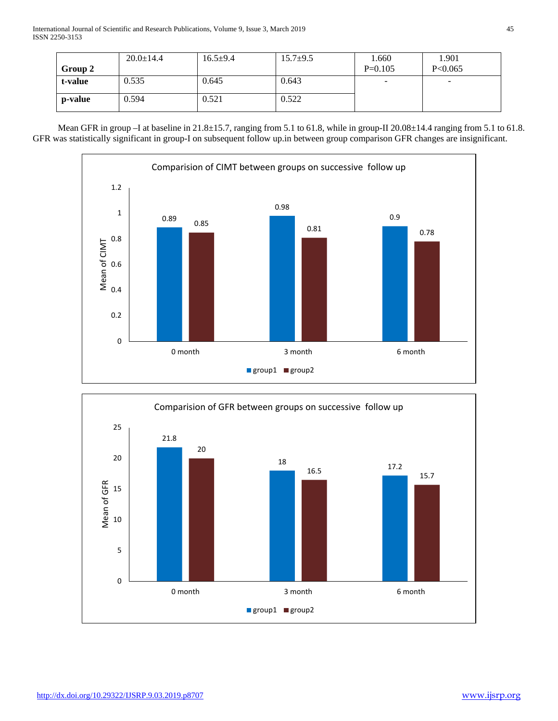|         | $20.0 \pm 14.4$ | $16.5 + 9.4$ | $15.7 + 9.5$ | 1.660     | 1.901   |
|---------|-----------------|--------------|--------------|-----------|---------|
| Group 2 |                 |              |              | $P=0.105$ | P<0.065 |
| t-value | 0.535           | 0.645        | 0.643        | ۰         | -       |
| p-value | 0.594           | 0.521        | 0.522        |           |         |

Mean GFR in group –I at baseline in 21.8±15.7, ranging from 5.1 to 61.8, while in group-II 20.08±14.4 ranging from 5.1 to 61.8. GFR was statistically significant in group-I on subsequent follow up.in between group comparison GFR changes are insignificant.



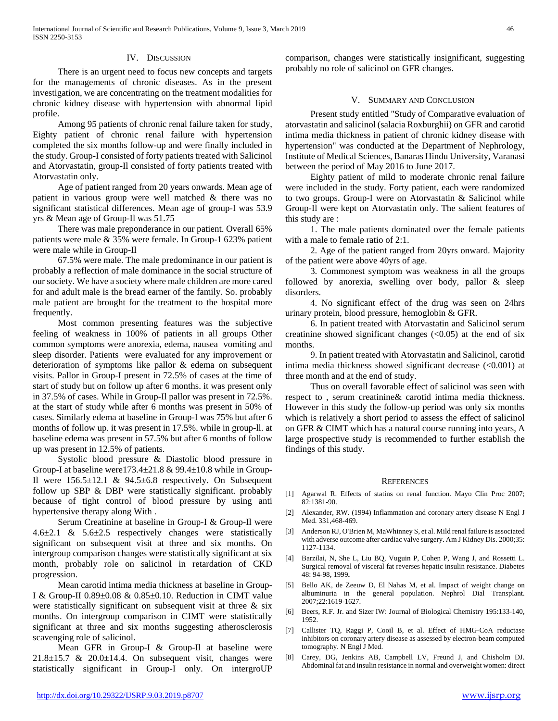## IV. DISCUSSION

 There is an urgent need to focus new concepts and targets for the managements of chronic diseases. As in the present investigation, we are concentrating on the treatment modalities for chronic kidney disease with hypertension with abnormal lipid profile.

 Among 95 patients of chronic renal failure taken for study, Eighty patient of chronic renal failure with hypertension completed the six months follow-up and were finally included in the study. Group-I consisted of forty patients treated with Salicinol and Atorvastatin, group-Il consisted of forty patients treated with Atorvastatin only.

 Age of patient ranged from 20 years onwards. Mean age of patient in various group were well matched & there was no significant statistical differences. Mean age of group-I was 53.9 yrs & Mean age of Group-Il was 51.75

 There was male preponderance in our patient. Overall 65% patients were male & 35% were female. In Group-1 623% patient were male while in Group-Il

 67.5% were male. The male predominance in our patient is probably a reflection of male dominance in the social structure of our society. We have a society where male children are more cared for and adult male is the bread earner of the family. So. probably male patient are brought for the treatment to the hospital more frequently.

 Most common presenting features was the subjective feeling of weakness in 100% of patients in all groups Other common symptoms were anorexia, edema, nausea vomiting and sleep disorder. Patients were evaluated for any improvement or deterioration of symptoms like pallor & edema on subsequent visits. Pallor in Group-I present in 72.5% of cases at the time of start of study but on follow up after 6 months. it was present only in 37.5% of cases. While in Group-Il pallor was present in 72.5%. at the start of study while after 6 months was present in 50% of cases. Similarly edema at baseline in Group-I was 75% but after 6 months of follow up. it was present in 17.5%. while in group-ll. at baseline edema was present in 57.5% but after 6 months of follow up was present in 12.5% of patients.

 Systolic blood pressure & Diastolic blood pressure in Group-I at baseline were173.4±21.8 & 99.4±10.8 while in Group-Il were  $156.5\pm12.1$  &  $94.5\pm6.8$  respectively. On Subsequent follow up SBP & DBP were statistically significant. probably because of tight control of blood pressure by using anti hypertensive therapy along With .

 Serum Creatinine at baseline in Group-I & Group-Il were 4.6±2.1 & 5.6±2.5 respectively changes were statistically significant on subsequent visit at three and six months. On intergroup comparison changes were statistically significant at six month, probably role on salicinol in retardation of CKD progression.

 Mean carotid intima media thickness at baseline in Group-I & Group-II 0.89±0.08 & 0.85±0.10. Reduction in CIMT value were statistically significant on subsequent visit at three & six months. On intergroup comparison in CIMT were statistically significant at three and six months suggesting atherosclerosis scavenging role of salicinol.

 Mean GFR in Group-I & Group-Il at baseline were  $21.8\pm15.7$  &  $20.0\pm14.4$ . On subsequent visit, changes were statistically significant in Group-I only. On intergroUP comparison, changes were statistically insignificant, suggesting probably no role of salicinol on GFR changes.

## V. SUMMARY AND CONCLUSION

 Present study entitled "Study of Comparative evaluation of atorvastatin and salicinol (salacia Roxburghii) on GFR and carotid intima media thickness in patient of chronic kidney disease with hypertension" was conducted at the Department of Nephrology, Institute of Medical Sciences, Banaras Hindu University, Varanasi between the period of May 2016 to June 2017.

 Eighty patient of mild to moderate chronic renal failure were included in the study. Forty patient, each were randomized to two groups. Group-I were on Atorvastatin & Salicinol while Group-Il were kept on Atorvastatin only. The salient features of this study are :

 1. The male patients dominated over the female patients with a male to female ratio of 2:1.

 2. Age of the patient ranged from 20yrs onward. Majority of the patient were above 40yrs of age.

 3. Commonest symptom was weakness in all the groups followed by anorexia, swelling over body, pallor & sleep disorders.

 4. No significant effect of the drug was seen on 24hrs urinary protein, blood pressure, hemoglobin & GFR.

 6. In patient treated with Atorvastatin and Salicinol serum creatinine showed significant changes  $( $0.05$ )$  at the end of six months.

 9. In patient treated with Atorvastatin and Salicinol, carotid intima media thickness showed significant decrease (<0.001) at three month and at the end of study.

 Thus on overall favorable effect of salicinol was seen with respect to , serum creatinine& carotid intima media thickness. However in this study the follow-up period was only six months which is relatively a short period to assess the effect of salicinol on GFR & CIMT which has a natural course running into years, A large prospective study is recommended to further establish the findings of this study.

### **REFERENCES**

- [1] Agarwal R. Effects of statins on renal function. Mayo Clin Proc 2007; 82:1381-90.
- [2] Alexander, RW. (1994) Inflammation and coronary artery disease N Engl J Med. 331,468-469.
- [3] Anderson RJ, O'Brien M, MaWhinney S, et al. Mild renal failure is associated with adverse outcome after cardiac valve surgery. Am J Kidney Dis. 2000;35: 1127-1134.
- [4] Barzilai, N, She L, Liu BQ, Vuguin P, Cohen P, Wang J, and Rossetti L. Surgical removal of visceral fat reverses hepatic insulin resistance. Diabetes 48: 94-98, 1999**.**
- [5] Bello AK, de Zeeuw D, El Nahas M, et al. Impact of weight change on albuminuria in the general population. Nephrol Dial Transplant. 2007;22:1619-1627.
- [6] Beers, R.F. Jr. and Sizer IW: Journal of Biological Chemistry 195:133-140, 1952.
- [7] Callister TQ, Raggi P, Cooil B, et al. Effect of HMG-CoA reductase inhibitors on coronary artery disease as assessed by electron-beam computed tomography. N Engl J Med.
- [8] Carey, DG, Jenkins AB, Campbell LV, Freund J, and Chisholm DJ. Abdominal fat and insulin resistance in normal and overweight women: direct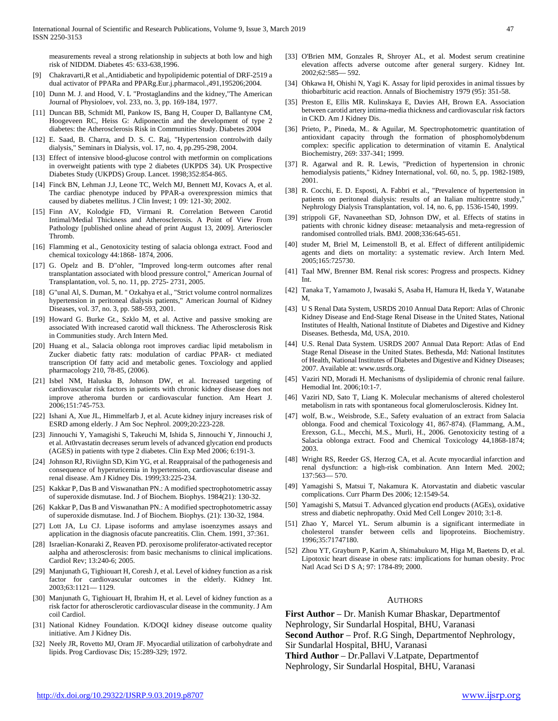measurements reveal a strong relationship in subjects at both low and high risk of NIDDM. Diabetes 45: 633-638,1996.

- [9] Chakravarti,R et al.,Antidiabetic and hypolipidemic potential of DRF-2519 a dual activator of PPARa and PPARg.Eur.j.pharmacol.,491,195206;2004.
- [10] Dunn M. J. and Hood, V. L "Prostaglandins and the kidney,"The American Journal of Physioloev, vol. 233, no. 3, pp. 169-184, 1977.
- [11] Duncan BB, Schmidt Ml, Pankow IS, Bang H, Couper D, Ballantyne CM, Hoogeveen RC, Heiss G: Adiponectin and the development of type 2 diabetes: the Atherosclerosis Risk in Communities Study. Diabetes 2004
- [12] E. Saad, B. Charra, and D. S. C. Raj, "Hypertension controlwith daily dialysis," Seminars in Dialysis, vol. 17, no. 4, pp.295-298, 2004.
- [13] Effect of intensive blood-glucose control with metformin on complications in overweight patients with type 2 diabetes (UKPDS 34). UK Prospective Diabetes Study (UKPDS) Group. Lancet. 1998;352:854-865.
- [14] Finck BN, Lehman J.J, Leone TC, Welch MJ, Bennett MJ, Kovacs A, et al. The cardiac phenotype induced by PPAR-a overexpression mimics that caused by diabetes mellitus. J Clin Invest; 1 09: 121-30; 2002.
- [15] Finn AV, Kolodgie FD, Virmani R. Correlation Between Carotid Intimal/Medial Thickness and Atherosclerosis. A Point of View From Pathology [published online ahead of print August 13, 2009]. Arterioscler Thromb.
- [16] Flamming et al., Genotoxicity testing of salacia oblonga extract. Food and chemical toxicology 44:1868- 1874, 2006.
- [17] G. Opelz and B. D"ohler, "Improved long-term outcomes after renal transplantation associated with blood pressure control," American Journal of Transplantation, vol. 5, no. 11, pp. 2725- 2731, 2005.
- [18] G"unal Al, S. Duman, M. " Ozkahya et al., "Strict volume control normalizes hypertension in peritoneal dialysis patients," American Journal of Kidney Diseases, vol. 37, no. 3, pp. 588-593, 2001.
- [19] Howard G. Burke Gt., Szklo M, et al. Active and passive smoking are associated With increased carotid wall thickness. The Atherosclerosis Risk in Communities study. Arch Intern Med.
- [20] Huang et al., Salacia oblonga root improves cardiac lipid metabolism in Zucker diabetic fatty rats: modulation of cardiac PPAR- ct mediated transcription Of fatty acid and metabolic genes. Toxciology and applied pharmacology 210, 78-85, (2006).
- [21] Isbel NM, Haluska B, Johnson DW, et al. Increased targeting of cardiovascular risk factors in patients with chronic kidney disease does not improve atheroma burden or cardiovascular function. Am Heart J. 2006;151:745-753.
- [22] Ishani A, Xue JL, Himmelfarb J, et al. Acute kidney injury increases risk of ESRD among elderly. J Am Soc Nephrol. 2009;20:223-228.
- [23] Jinnouchi Y, Yamagishi S, Takeuchi M, Ishida S, Jinnouchi Y, Jinnouchi J, et al. At0rvastatin decreases serum levels of advanced glycation end products (AGES) in patients with type 2 diabetes. Clin Exp Med 2006; 6:191-3.
- [24] Johnson RJ, Riviighn SD, Kim YG, et al. Reappraisal of the pathogenesis and consequence of hyperuricemia in hypertension, cardiovascular disease and renal disease. Am J Kidney Dis. 1999;33:225-234.
- [25] Kakkar P, Das B and Viswanathan PN.: A modified spectrophotometric assay of superoxide dismutase. Ind. J of Biochem. Biophys. 1984(21): 130-32.
- [26] Kakkar P, Das B and Viswanathan PN.: A modified spectrophotometric assay of superoxide dismutase. Ind. J of Biochem. Biophys. (21): 130-32, 1984.
- [27] Lott JA, Lu CJ. Lipase isoforms and amylase isoenzymes assays and application in the diagnosis ofacute pancreatitis. Clin. Chem. 1991, 37:361.
- [28] Israelian-Konaraki Z, Reaven PD. peroxisome proliferator-activated receptor aalpha and atherosclerosis: from basic mechanisms to clinical implications. Cardiol Rev; 13:240-6; 2005.
- [29] Manjunath G, Tighiouart H, Coresh J, et al. Level of kidney function as a risk factor for cardiovascular outcomes in the elderly. Kidney Int. 2003;63:1121— 1129.
- [30] Manjunath G, Tighiouart H, Ibrahim H, et al. Level of kidney function as a risk factor for atherosclerotic cardiovascular disease in the community. J Am coil Cardiol.
- [31] National Kidney Foundation. K/DOQI kidney disease outcome quality initiative. Am J Kidney Dis.
- [32] Neely JR, Rovetto MJ, Oram JF. Myocardial utilization of carbohydrate and lipids. Prog Cardiovasc Dis; 15:289-329; 1972.
- [33] O'Brien MM, Gonzales R, Shroyer AL, et al. Modest serum creatinine elevation affects adverse outcome after general surgery. Kidney Int. 2002;62:585— 592.
- [34] Ohkawa H, Ohishi N, Yagi K. Assay for lipid peroxides in animal tissues by thiobarbituric acid reaction. Annals of Biochemistry 1979 (95): 351-58.
- [35] Preston E, Ellis MR. Kulinskaya E, Davies AH, Brown EA. Association between carotid artery intima-media thickness and cardiovascular risk factors in CKD. Am J Kidney Dis.
- [36] Prieto, P., Pineda, M.. & Aguilar, M. Spectrophotometric quantitation of antioxidant capacity through the formation of phosphomolybdenum complex: specific application to determination of vitamin E. Analytical Biochemistry, 269: 337-341; 1999.
- [37] R. Agarwal and R. R. Lewis, "Prediction of hypertension in chronic hemodialysis patients," Kidney International, vol. 60, no. 5, pp. 1982-1989, 2001.
- [38] R. Cocchi, E. D. Esposti, A. Fabbri et al., "Prevalence of hypertension in patients on peritoneal dialysis: results of an Italian multicentre study," Nephrology Dialysis Transplantation, vol. 14, no. 6, pp. 1536-1540, 1999.
- [39] strippoli GF, Navaneethan SD, Johnson DW, et al. Effects of statins in patients with chronic kidney disease: metaanalysis and meta-regression of randomised controlled trials. BMJ. 2008;336:645-651.
- [40] studer M, Briel M, Leimenstoll B, et al. Effect of different antilipidemic agents and diets on mortality: a systematic review. Arch Intern Med. 2005;165:725730.
- [41] Taal MW, Brenner BM. Renal risk scores: Progress and prospects. Kidney Int.
- [42] Tanaka T, Yamamoto J, Iwasaki S, Asaba H, Hamura H, Ikeda Y, Watanabe M,
- [43] U S Renal Data System, USRDS 2010 Annual Data Report: Atlas of Chronic Kidney Disease and End-Stage Renal Disease in the United States, National Institutes of Health, National Institute of Diabetes and Digestive and Kidney Diseases. Bethesda, Md, USA, 2010.
- [44] U.S. Renal Data System. USRDS 2007 Annual Data Report: Atlas of End Stage Renal Disease in the United States. Bethesda, Md: National Institutes of Health, National Institutes of Diabetes and Digestive and Kidney Diseases; 2007. Available at: www.usrds.org.
- [45] Vaziri ND, Moradi H. Mechanisms of dyslipidemia of chronic renal failure. Hemodial Int. 2006;10:1-7.
- [46] Vaziri ND, Sato T, Liang K. Molecular mechanisms of altered cholesterol metabolism in rats with spontaneous focal glomerulosclerosis. Kidney Int.
- [47] wolf, B.w., Weisbrode, S.E., Safety evaluation of an extract from Salacia oblonga. Food and chemical Toxicology 41, 867-874). (Flammang, A.M., Erexson, G.L., Mecchi, M.S., Murli, H., 2006. Genotoxicity testing of a Salacia oblonga extract. Food and Chemical Toxicology 44,1868-1874; 2003.
- [48] Wright RS, Reeder GS, Herzog CA, et al. Acute myocardial infarction and renal dysfunction: a high-risk combination. Ann Intern Med. 2002; 137:563— 570.
- [49] Yamagishi S, Matsui T, Nakamura K. Atorvastatin and diabetic vascular complications. Curr Pharm Des 2006; 12:1549-54.
- [50] Yamagishi S, Matsui T. Advanced glycation end products (AGEs), oxidative stress and diabetic nephropathy. Oxid Med Cell Longev 2010; 3:1-8.
- [51] Zhao Y, Marcel YL. Serum albumin is a significant intermediate in cholesterol transfer between cells and lipoproteins. Biochemistry. 1996;35:71747180.
- [52] Zhou YT, Grayburn P, Karim A, Shimabukuro M, Higa M, Baetens D, et al. Lipotoxic heart disease in obese rats: implications for human obesity. Proc Natl Acad Sci D S A; 97: 1784-89; 2000.

### AUTHORS

**First Author** – Dr. Manish Kumar Bhaskar, Departmentof Nephrology, Sir Sundarlal Hospital, BHU, Varanasi **Second Author** – Prof. R.G Singh, Departmentof Nephrology, Sir Sundarlal Hospital, BHU, Varanasi **Third Author** – Dr.Pallavi V.Latpate, Departmentof Nephrology, Sir Sundarlal Hospital, BHU, Varanasi

<http://dx.doi.org/10.29322/IJSRP.9.03.2019.p8707> [www.ijsrp.org](http://ijsrp.org/)